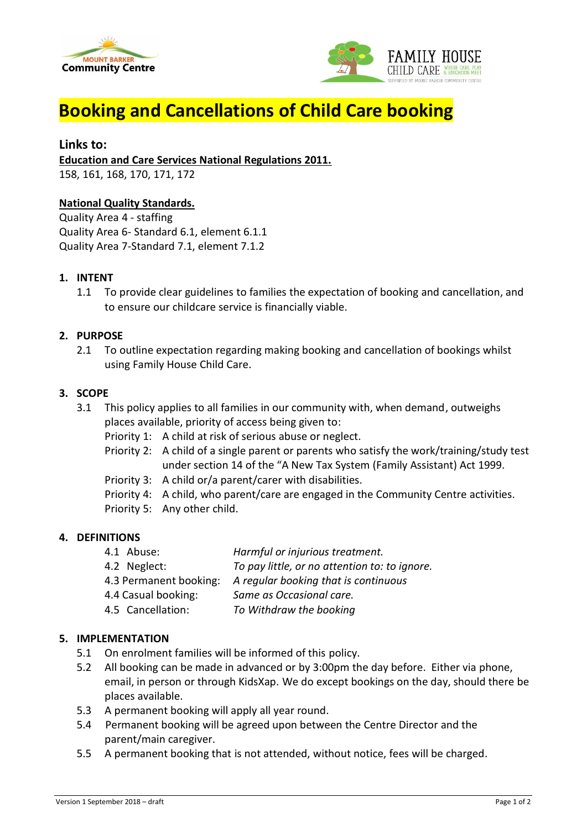



# **Booking and Cancellations of Child Care booking**

## **Links to:**

**Education and Care Services National Regulations 2011.**

158, 161, 168, 170, 171, 172

### **National Quality Standards.**

Quality Area 4 - staffing Quality Area 6- Standard 6.1, element 6.1.1 Quality Area 7-Standard 7.1, element 7.1.2

#### **1. INTENT**

1.1 To provide clear guidelines to families the expectation of booking and cancellation, and to ensure our childcare service is financially viable.

#### **2. PURPOSE**

2.1 To outline expectation regarding making booking and cancellation of bookings whilst using Family House Child Care.

#### **3. SCOPE**

- 3.1 This policy applies to all families in our community with, when demand, outweighs places available, priority of access being given to:
	- Priority 1: A child at risk of serious abuse or neglect.
	- Priority 2: A child of a single parent or parents who satisfy the work/training/study test under section 14 of the "A New Tax System (Family Assistant) Act 1999.
	- Priority 3: A child or/a parent/carer with disabilities.
	- Priority 4: A child, who parent/care are engaged in the Community Centre activities.
	- Priority 5: Any other child.

#### **4. DEFINITIONS**

- 4.1 Abuse: *Harmful or injurious treatment.*
- 4.2 Neglect: *To pay little, or no attention to: to ignore.*
- 4.3 Permanent booking: *A regular booking that is continuous*
- 4.4 Casual booking: *Same as Occasional care.*
- 4.5 Cancellation: *To Withdraw the booking*

# **5. IMPLEMENTATION**

- 5.1 On enrolment families will be informed of this policy.
- 5.2 All booking can be made in advanced or by 3:00pm the day before. Either via phone, email, in person or through KidsXap. We do except bookings on the day, should there be places available.
- 5.3 A permanent booking will apply all year round.
- 5.4 Permanent booking will be agreed upon between the Centre Director and the parent/main caregiver.
- 5.5 A permanent booking that is not attended, without notice, fees will be charged.